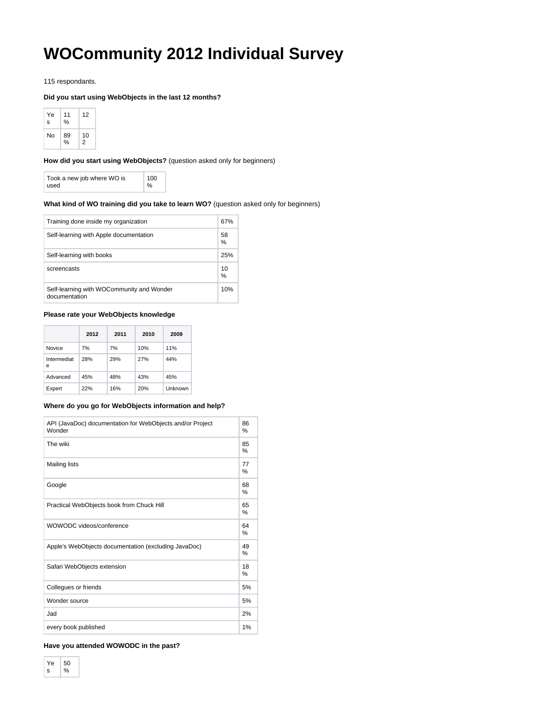# **WOCommunity 2012 Individual Survey**

115 respondants.

## **Did you start using WebObjects in the last 12 months?**

| Ye<br>s | 11<br>% | 12                   |
|---------|---------|----------------------|
| No      | 89<br>% | 10<br>$\overline{c}$ |

#### **How did you start using WebObjects?** (question asked only for beginners)

Took a new job where WO is used 100 %

#### **What kind of WO training did you take to learn WO?** (question asked only for beginners)

| Training done inside my organization                       | 67%     |
|------------------------------------------------------------|---------|
| Self-learning with Apple documentation                     | 58<br>% |
| Self-learning with books                                   | 25%     |
| screencasts                                                | 10<br>% |
| Self-learning with WOCommunity and Wonder<br>documentation | 10%     |

## **Please rate your WebObjects knowledge**

|                  | 2012 | 2011 | 2010 | 2009    |
|------------------|------|------|------|---------|
| Novice           | 7%   | 7%   | 10%  | 11%     |
| Intermediat<br>e | 28%  | 29%  | 27%  | 44%     |
| Advanced         | 45%  | 48%  | 43%  | 45%     |
| Expert           | 22%  | 16%  | 20%  | Unknown |

## **Where do you go for WebObjects information and help?**

| API (JavaDoc) documentation for WebObjects and/or Project<br>Wonder | 86<br>$\%$ |
|---------------------------------------------------------------------|------------|
| The wiki                                                            | 85<br>$\%$ |
| <b>Mailing lists</b>                                                | 77<br>%    |
| Google                                                              | 68<br>%    |
| Practical WebObjects book from Chuck Hill                           | 65<br>%    |
| WOWODC videos/conference                                            | 64<br>%    |
| Apple's WebObjects documentation (excluding JavaDoc)                | 49<br>%    |
| Safari WebObjects extension                                         | 18<br>%    |
| Collegues or friends                                                | 5%         |
| Wonder source                                                       | 5%         |
| Jad                                                                 | 2%         |
| every book published                                                | 1%         |

## **Have you attended WOWODC in the past?**